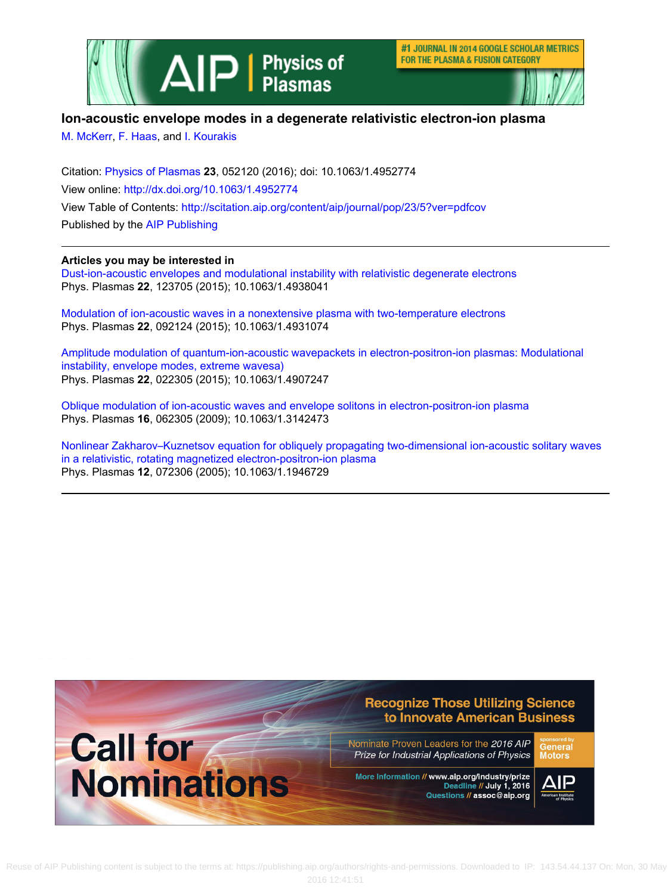

#1 JOURNAL IN 2014 GOOGLE SCHOLAR METRICS FOR THE PLASMA & FUSION CATEGORY



# **Ion-acoustic envelope modes in a degenerate relativistic electron-ion plasma**

[M. McKerr,](http://scitation.aip.org/search?value1=M.+McKerr&option1=author) [F. Haas](http://scitation.aip.org/search?value1=F.+Haas&option1=author), and [I. Kourakis](http://scitation.aip.org/search?value1=I.+Kourakis&option1=author)

Citation: [Physics of Plasmas](http://scitation.aip.org/content/aip/journal/pop?ver=pdfcov) **23**, 052120 (2016); doi: 10.1063/1.4952774 View online:<http://dx.doi.org/10.1063/1.4952774> View Table of Contents:<http://scitation.aip.org/content/aip/journal/pop/23/5?ver=pdfcov> Published by the [AIP Publishing](http://scitation.aip.org/content/aip?ver=pdfcov)

# **Articles you may be interested in**

[Dust-ion-acoustic envelopes and modulational instability with relativistic degenerate electrons](http://scitation.aip.org/content/aip/journal/pop/22/12/10.1063/1.4938041?ver=pdfcov) Phys. Plasmas **22**, 123705 (2015); 10.1063/1.4938041

[Modulation of ion-acoustic waves in a nonextensive plasma with two-temperature electrons](http://scitation.aip.org/content/aip/journal/pop/22/9/10.1063/1.4931074?ver=pdfcov) Phys. Plasmas **22**, 092124 (2015); 10.1063/1.4931074

[Amplitude modulation of quantum-ion-acoustic wavepackets in electron-positron-ion plasmas: Modulational](http://scitation.aip.org/content/aip/journal/pop/22/2/10.1063/1.4907247?ver=pdfcov) [instability, envelope modes, extreme wavesa\)](http://scitation.aip.org/content/aip/journal/pop/22/2/10.1063/1.4907247?ver=pdfcov) Phys. Plasmas **22**, 022305 (2015); 10.1063/1.4907247

[Oblique modulation of ion-acoustic waves and envelope solitons in electron-positron-ion plasma](http://scitation.aip.org/content/aip/journal/pop/16/6/10.1063/1.3142473?ver=pdfcov) Phys. Plasmas **16**, 062305 (2009); 10.1063/1.3142473

[Nonlinear Zakharov–Kuznetsov equation for obliquely propagating two-dimensional ion-acoustic solitary waves](http://scitation.aip.org/content/aip/journal/pop/12/7/10.1063/1.1946729?ver=pdfcov) [in a relativistic, rotating magnetized electron-positron-ion plasma](http://scitation.aip.org/content/aip/journal/pop/12/7/10.1063/1.1946729?ver=pdfcov) Phys. Plasmas **12**, 072306 (2005); 10.1063/1.1946729

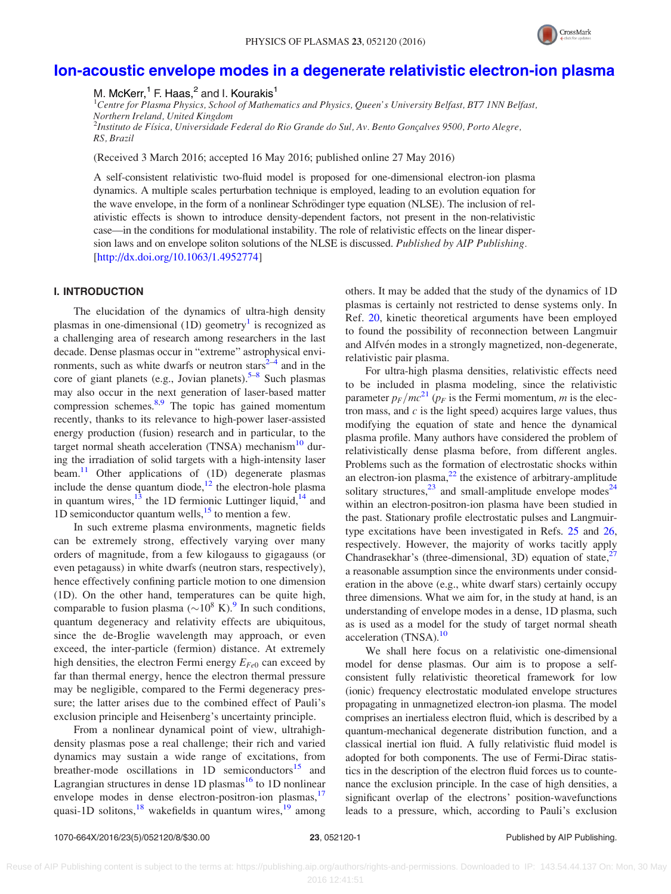

# [Ion-acoustic envelope modes in a degenerate relativistic electron-ion plasma](http://dx.doi.org/10.1063/1.4952774)

M. McKerr,<sup>1</sup> F. Haas,<sup>2</sup> and I. Kourakis<sup>1</sup>

<sup>1</sup>Centre for Plasma Physics, School of Mathematics and Physics, Queen's University Belfast, BT7 1NN Belfast, Northern Ireland, United Kingdom <sup>2</sup>Instituto de Física, Universidade Federal do Rio Grande do Sul, Av. Bento Gonçalves 9500, Porto Alegre, RS, Brazil

(Received 3 March 2016; accepted 16 May 2016; published online 27 May 2016)

A self-consistent relativistic two-fluid model is proposed for one-dimensional electron-ion plasma dynamics. A multiple scales perturbation technique is employed, leading to an evolution equation for the wave envelope, in the form of a nonlinear Schrödinger type equation (NLSE). The inclusion of relativistic effects is shown to introduce density-dependent factors, not present in the non-relativistic case—in the conditions for modulational instability. The role of relativistic effects on the linear dispersion laws and on envelope soliton solutions of the NLSE is discussed. Published by AIP Publishing. [\[http://dx.doi.org/10.1063/1.4952774](http://dx.doi.org/10.1063/1.4952774)]

# I. INTRODUCTION

The elucidation of the dynamics of ultra-high density plasmas in one-dimensional  $(1D)$  geometry<sup>1</sup> is recognized as a challenging area of research among researchers in the last decade. Dense plasmas occur in "extreme" astrophysical environments, such as white dwarfs or neutron stars $2-4$  $2-4$  and in the core of giant planets (e.g., Jovian planets). $5-8$  Such plasmas may also occur in the next generation of laser-based matter compression schemes.<sup>[8,9](#page-8-0)</sup> The topic has gained momentum recently, thanks to its relevance to high-power laser-assisted energy production (fusion) research and in particular, to the target normal sheath acceleration  $(TNSA)$  mechanism<sup>10</sup> during the irradiation of solid targets with a high-intensity laser beam. $\frac{11}{11}$  $\frac{11}{11}$  $\frac{11}{11}$  Other applications of (1D) degenerate plasmas include the dense quantum diode, $^{12}$  the electron-hole plasma in quantum wires, $^{13}$  the 1D fermionic Luttinger liquid, $^{14}$  $^{14}$  $^{14}$  and 1D semiconductor quantum wells, $^{15}$  to mention a few.

In such extreme plasma environments, magnetic fields can be extremely strong, effectively varying over many orders of magnitude, from a few kilogauss to gigagauss (or even petagauss) in white dwarfs (neutron stars, respectively), hence effectively confining particle motion to one dimension (1D). On the other hand, temperatures can be quite high, comparable to fusion plasma ( ${\sim}10^8$  K).<sup>[9](#page-8-0)</sup> In such conditions, quantum degeneracy and relativity effects are ubiquitous, since the de-Broglie wavelength may approach, or even exceed, the inter-particle (fermion) distance. At extremely high densities, the electron Fermi energy  $E_{Fe0}$  can exceed by far than thermal energy, hence the electron thermal pressure may be negligible, compared to the Fermi degeneracy pressure; the latter arises due to the combined effect of Pauli's exclusion principle and Heisenberg's uncertainty principle.

From a nonlinear dynamical point of view, ultrahighdensity plasmas pose a real challenge; their rich and varied dynamics may sustain a wide range of excitations, from breather-mode oscillations in  $1D$  semiconductors<sup>15</sup> and Lagrangian structures in dense 1D plasmas<sup>[16](#page-8-0)</sup> to 1D nonlinear envelope modes in dense electron-positron-ion plasmas,<sup>[17](#page-8-0)</sup> quasi-1D solitons,  $^{18}$  $^{18}$  $^{18}$  wakefields in quantum wires,  $^{19}$  $^{19}$  $^{19}$  among others. It may be added that the study of the dynamics of 1D plasmas is certainly not restricted to dense systems only. In Ref. [20,](#page-8-0) kinetic theoretical arguments have been employed to found the possibility of reconnection between Langmuir and Alfvén modes in a strongly magnetized, non-degenerate, relativistic pair plasma.

For ultra-high plasma densities, relativistic effects need to be included in plasma modeling, since the relativistic parameter  $p_F/mc^{21}$  $p_F/mc^{21}$  $p_F/mc^{21}$  ( $p_F$  is the Fermi momentum, m is the electron mass, and  $c$  is the light speed) acquires large values, thus modifying the equation of state and hence the dynamical plasma profile. Many authors have considered the problem of relativistically dense plasma before, from different angles. Problems such as the formation of electrostatic shocks within an electron-ion plasma, $^{22}$  the existence of arbitrary-amplitude solitary structures, $^{23}$  and small-amplitude envelope modes<sup>24</sup> within an electron-positron-ion plasma have been studied in the past. Stationary profile electrostatic pulses and Langmuirtype excitations have been investigated in Refs. [25](#page-8-0) and [26](#page-8-0), respectively. However, the majority of works tacitly apply Chandrasekhar's (three-dimensional, 3D) equation of state,  $27$ a reasonable assumption since the environments under consideration in the above (e.g., white dwarf stars) certainly occupy three dimensions. What we aim for, in the study at hand, is an understanding of envelope modes in a dense, 1D plasma, such as is used as a model for the study of target normal sheath acceleration (TNSA).<sup>[10](#page-8-0)</sup>

We shall here focus on a relativistic one-dimensional model for dense plasmas. Our aim is to propose a selfconsistent fully relativistic theoretical framework for low (ionic) frequency electrostatic modulated envelope structures propagating in unmagnetized electron-ion plasma. The model comprises an inertialess electron fluid, which is described by a quantum-mechanical degenerate distribution function, and a classical inertial ion fluid. A fully relativistic fluid model is adopted for both components. The use of Fermi-Dirac statistics in the description of the electron fluid forces us to countenance the exclusion principle. In the case of high densities, a significant overlap of the electrons' position-wavefunctions leads to a pressure, which, according to Pauli's exclusion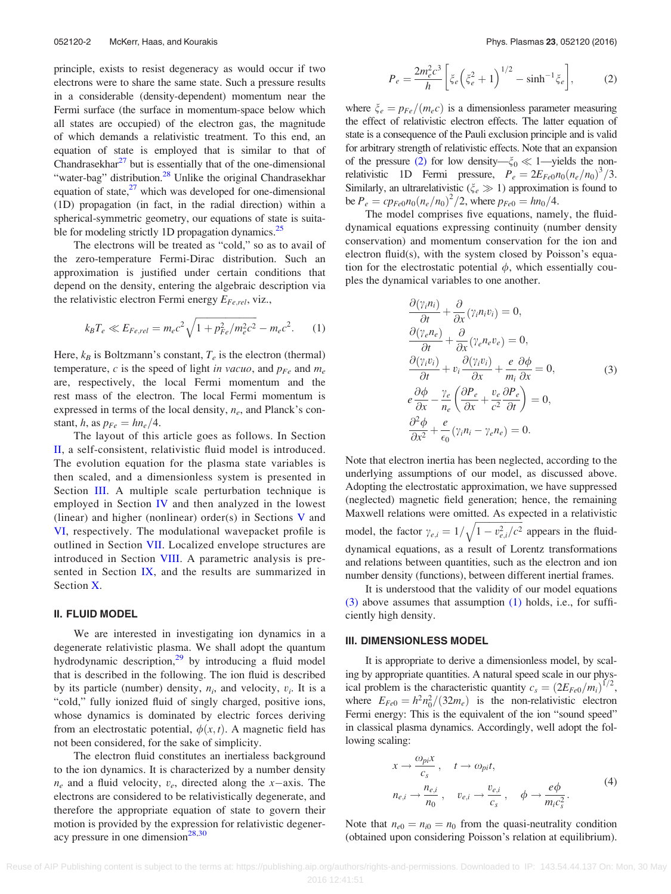<span id="page-2-0"></span>principle, exists to resist degeneracy as would occur if two electrons were to share the same state. Such a pressure results in a considerable (density-dependent) momentum near the Fermi surface (the surface in momentum-space below which all states are occupied) of the electron gas, the magnitude of which demands a relativistic treatment. To this end, an equation of state is employed that is similar to that of Chandrasekhar $^{27}$  but is essentially that of the one-dimensional "water-bag" distribution.<sup>28</sup> Unlike the original Chandrasekhar equation of state, $^{27}$  $^{27}$  $^{27}$  which was developed for one-dimensional (1D) propagation (in fact, in the radial direction) within a spherical-symmetric geometry, our equations of state is suita-ble for modeling strictly 1D propagation dynamics.<sup>[25](#page-8-0)</sup>

The electrons will be treated as "cold," so as to avail of the zero-temperature Fermi-Dirac distribution. Such an approximation is justified under certain conditions that depend on the density, entering the algebraic description via the relativistic electron Fermi energy  $E_{Fe,rel}$ , viz.,

$$
k_B T_e \ll E_{Fe,rel} = m_e c^2 \sqrt{1 + p_{Fe}^2 / m_e^2 c^2} - m_e c^2.
$$
 (1)

Here,  $k_B$  is Boltzmann's constant,  $T_e$  is the electron (thermal) temperature, c is the speed of light in vacuo, and  $p_{Fe}$  and  $m_e$ are, respectively, the local Fermi momentum and the rest mass of the electron. The local Fermi momentum is expressed in terms of the local density,  $n_e$ , and Planck's constant, h, as  $p_{Fe} = h n_e / 4$ .

The layout of this article goes as follows. In Section II, a self-consistent, relativistic fluid model is introduced. The evolution equation for the plasma state variables is then scaled, and a dimensionless system is presented in Section III. A multiple scale perturbation technique is employed in Section [IV](#page-3-0) and then analyzed in the lowest (linear) and higher (nonlinear) order(s) in Sections [V](#page-3-0) and [VI,](#page-4-0) respectively. The modulational wavepacket profile is outlined in Section [VII.](#page-4-0) Localized envelope structures are introduced in Section [VIII.](#page-5-0) A parametric analysis is presented in Section [IX,](#page-5-0) and the results are summarized in Section [X](#page-6-0).

## II. FLUID MODEL

We are interested in investigating ion dynamics in a degenerate relativistic plasma. We shall adopt the quantum hydrodynamic description,<sup>[29](#page-8-0)</sup> by introducing a fluid model that is described in the following. The ion fluid is described by its particle (number) density,  $n_i$ , and velocity,  $v_i$ . It is a "cold," fully ionized fluid of singly charged, positive ions, whose dynamics is dominated by electric forces deriving from an electrostatic potential,  $\phi(x, t)$ . A magnetic field has not been considered, for the sake of simplicity.

The electron fluid constitutes an inertialess background to the ion dynamics. It is characterized by a number density  $n_e$  and a fluid velocity,  $v_e$ , directed along the x-axis. The electrons are considered to be relativistically degenerate, and therefore the appropriate equation of state to govern their motion is provided by the expression for relativistic degeneracy pressure in one dimension $^{28,30}$  $^{28,30}$  $^{28,30}$ 

$$
P_e = \frac{2m_e^2 c^3}{h} \left[ \xi_e \left( \xi_e^2 + 1 \right)^{1/2} - \sinh^{-1} \xi_e \right],\tag{2}
$$

where  $\zeta_e = p_{Fe}/(m_e c)$  is a dimensionless parameter measuring the effect of relativistic electron effects. The latter equation of state is a consequence of the Pauli exclusion principle and is valid for arbitrary strength of relativistic effects. Note that an expansion of the pressure (2) for low density— $\xi_0 \ll 1$ —yields the nonrelativistic 1D Fermi pressure,  $P_e = 2E_{Fe}n_0(n_e/n_0)^3/3$ . Similarly, an ultrarelativistic ( $\xi_e \gg 1$ ) approximation is found to be  $P_e = c p_{Fe0} n_0 (n_e/n_0)^2 / 2$ , where  $p_{Fe0} = h n_0 / 4$ .

The model comprises five equations, namely, the fluiddynamical equations expressing continuity (number density conservation) and momentum conservation for the ion and electron fluid(s), with the system closed by Poisson's equation for the electrostatic potential  $\phi$ , which essentially couples the dynamical variables to one another.

$$
\frac{\partial(\gamma_i n_i)}{\partial t} + \frac{\partial}{\partial x}(\gamma_i n_i v_i) = 0,\n\frac{\partial(\gamma_e n_e)}{\partial t} + \frac{\partial}{\partial x}(\gamma_e n_e v_e) = 0,\n\frac{\partial(\gamma_i v_i)}{\partial t} + v_i \frac{\partial(\gamma_i v_i)}{\partial x} + \frac{e}{m_i} \frac{\partial \phi}{\partial x} = 0,\neq \frac{\partial \phi}{\partial x} - \frac{\gamma_e}{n_e} \left(\frac{\partial P_e}{\partial x} + \frac{v_e}{c^2} \frac{\partial P_e}{\partial t}\right) = 0,\n\frac{\partial^2 \phi}{\partial x^2} + \frac{e}{\epsilon_0} (\gamma_i n_i - \gamma_e n_e) = 0.
$$
\n(3)

Note that electron inertia has been neglected, according to the underlying assumptions of our model, as discussed above. Adopting the electrostatic approximation, we have suppressed (neglected) magnetic field generation; hence, the remaining Maxwell relations were omitted. As expected in a relativistic model, the factor  $\gamma_{e,i} = 1/$  $\frac{1 - v_{e,i}^2}{(1 - v_{e,i}^2/c^2)}$  $\frac{1}{\sqrt{2}}$ appears in the fluiddynamical equations, as a result of Lorentz transformations and relations between quantities, such as the electron and ion number density (functions), between different inertial frames.

It is understood that the validity of our model equations (3) above assumes that assumption (1) holds, i.e., for sufficiently high density.

#### III. DIMENSIONLESS MODEL

It is appropriate to derive a dimensionless model, by scaling by appropriate quantities. A natural speed scale in our physical problem is the characteristic quantity  $c_s = (2E_{Fe0}/m_i)^{1/2}$ , where  $E_{Fe0} = h^2 n_0^2 / (32m_e)$  is the non-relativistic electron Fermi energy: This is the equivalent of the ion "sound speed" in classical plasma dynamics. Accordingly, well adopt the following scaling:

$$
x \to \frac{\omega_{pi} x}{c_s}, \quad t \to \omega_{pi} t,
$$
  
\n
$$
n_{e,i} \to \frac{n_{e,i}}{n_0}, \quad v_{e,i} \to \frac{v_{e,i}}{c_s}, \quad \phi \to \frac{e\phi}{m_i c_s^2}.
$$
 (4)

Note that  $n_{e0} = n_{i0} = n_0$  from the quasi-neutrality condition (obtained upon considering Poisson's relation at equilibrium).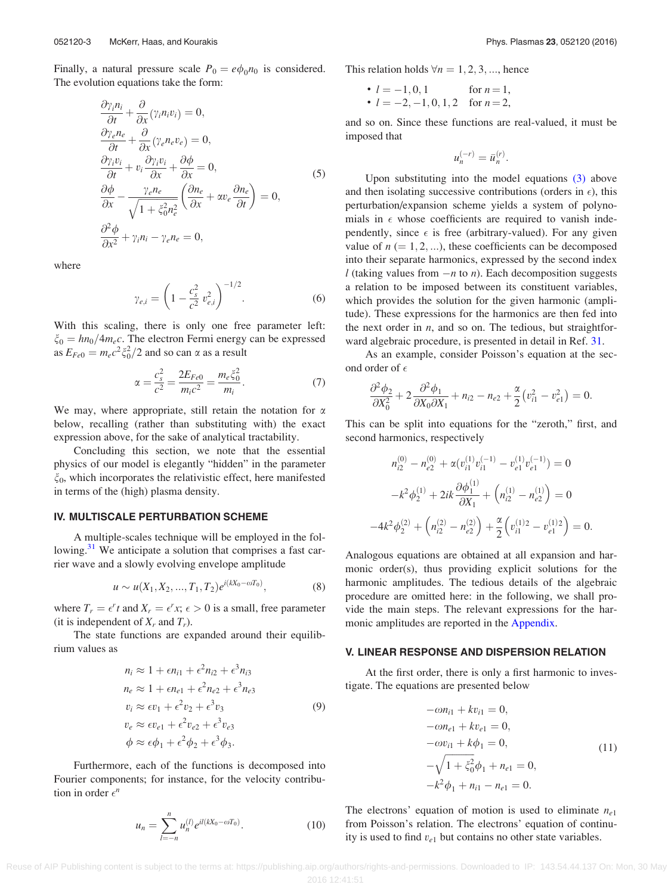<span id="page-3-0"></span>Finally, a natural pressure scale  $P_0 = e\phi_0n_0$  is considered. The evolution equations take the form:

$$
\frac{\partial \gamma_i n_i}{\partial t} + \frac{\partial}{\partial x} (\gamma_i n_i v_i) = 0, \n\frac{\partial \gamma_e n_e}{\partial t} + \frac{\partial}{\partial x} (\gamma_e n_e v_e) = 0, \n\frac{\partial \gamma_i v_i}{\partial t} + v_i \frac{\partial \gamma_i v_i}{\partial x} + \frac{\partial \phi}{\partial x} = 0, \n\frac{\partial \phi}{\partial x} - \frac{\gamma_e n_e}{\sqrt{1 + \xi_0^2 n_e^2}} \left( \frac{\partial n_e}{\partial x} + \alpha v_e \frac{\partial n_e}{\partial t} \right) = 0, \n\frac{\partial^2 \phi}{\partial x^2} + \gamma_i n_i - \gamma_e n_e = 0,
$$
\n(5)

where

$$
\gamma_{e,i} = \left(1 - \frac{c_s^2}{c^2} v_{e,i}^2\right)^{-1/2}.\tag{6}
$$

With this scaling, there is only one free parameter left:  $\xi_0 = h n_0 / 4 m_e c$ . The electron Fermi energy can be expressed as  $E_{Fe0} = m_e c^2 \xi_0^2 / 2$  and so can  $\alpha$  as a result

$$
\alpha = \frac{c_s^2}{c^2} = \frac{2E_{Fe0}}{m_i c^2} = \frac{m_e \xi_0^2}{m_i}.
$$
 (7)

We may, where appropriate, still retain the notation for  $\alpha$ below, recalling (rather than substituting with) the exact expression above, for the sake of analytical tractability.

Concluding this section, we note that the essential physics of our model is elegantly "hidden" in the parameter  $\xi_0$ , which incorporates the relativistic effect, here manifested in terms of the (high) plasma density.

## IV. MULTISCALE PERTURBATION SCHEME

A multiple-scales technique will be employed in the fol-lowing.<sup>[31](#page-8-0)</sup> We anticipate a solution that comprises a fast carrier wave and a slowly evolving envelope amplitude

$$
u \sim u(X_1, X_2, ..., T_1, T_2)e^{i(kX_0 - \omega T_0)}, \tag{8}
$$

where  $T_r = \epsilon^r t$  and  $X_r = \epsilon^r x$ ;  $\epsilon > 0$  is a small, free parameter (it is independent of  $X_r$  and  $T_r$ ).

The state functions are expanded around their equilibrium values as

$$
n_i \approx 1 + \epsilon n_{i1} + \epsilon^2 n_{i2} + \epsilon^3 n_{i3}
$$
  
\n
$$
n_e \approx 1 + \epsilon n_{e1} + \epsilon^2 n_{e2} + \epsilon^3 n_{e3}
$$
  
\n
$$
v_i \approx \epsilon v_1 + \epsilon^2 v_2 + \epsilon^3 v_3
$$
  
\n
$$
v_e \approx \epsilon v_{e1} + \epsilon^2 v_{e2} + \epsilon^3 v_{e3}
$$
  
\n
$$
\phi \approx \epsilon \phi_1 + \epsilon^2 \phi_2 + \epsilon^3 \phi_3.
$$
  
\n(9)

Furthermore, each of the functions is decomposed into Fourier components; for instance, for the velocity contribution in order  $\epsilon^n$ 

$$
u_n = \sum_{l=-n}^{n} u_n^{(l)} e^{il(kX_0 - \omega T_0)}.
$$
 (10)

This relation holds  $\forall n = 1, 2, 3, \dots$ , hence

• 
$$
l = -1, 0, 1
$$
 for  $n = 1$ ,  
\n•  $l = -2, -1, 0, 1, 2$  for  $n = 2$ ,

and so on. Since these functions are real-valued, it must be imposed that

$$
u_n^{(-r)} = \bar{u}_n^{(r)}.
$$

Upon substituting into the model equations [\(3\)](#page-2-0) above and then isolating successive contributions (orders in  $\epsilon$ ), this perturbation/expansion scheme yields a system of polynomials in  $\epsilon$  whose coefficients are required to vanish independently, since  $\epsilon$  is free (arbitrary-valued). For any given value of  $n (= 1, 2, ...)$ , these coefficients can be decomposed into their separate harmonics, expressed by the second index l (taking values from  $-n$  to n). Each decomposition suggests a relation to be imposed between its constituent variables, which provides the solution for the given harmonic (amplitude). These expressions for the harmonics are then fed into the next order in  $n$ , and so on. The tedious, but straightforward algebraic procedure, is presented in detail in Ref. [31](#page-8-0).

As an example, consider Poisson's equation at the second order of  $\epsilon$ 

$$
\frac{\partial^2 \phi_2}{\partial X_0^2} + 2 \frac{\partial^2 \phi_1}{\partial X_0 \partial X_1} + n_{i2} - n_{e2} + \frac{\alpha}{2} (v_{i1}^2 - v_{e1}^2) = 0.
$$

This can be split into equations for the "zeroth," first, and second harmonics, respectively

$$
n_{i2}^{(0)} - n_{e2}^{(0)} + \alpha \left(v_{i1}^{(1)} v_{i1}^{(-1)} - v_{e1}^{(1)} v_{e1}^{(-1)}\right) = 0
$$

$$
-k^2 \phi_2^{(1)} + 2ik \frac{\partial \phi_1^{(1)}}{\partial X_1} + \left(n_{i2}^{(1)} - n_{e2}^{(1)}\right) = 0
$$

$$
-4k^2 \phi_2^{(2)} + \left(n_{i2}^{(2)} - n_{e2}^{(2)}\right) + \frac{\alpha}{2} \left(v_{i1}^{(1)2} - v_{e1}^{(1)2}\right) = 0.
$$

Analogous equations are obtained at all expansion and harmonic order(s), thus providing explicit solutions for the harmonic amplitudes. The tedious details of the algebraic procedure are omitted here: in the following, we shall provide the main steps. The relevant expressions for the harmonic amplitudes are reported in the [Appendix](#page-7-0).

#### V. LINEAR RESPONSE AND DISPERSION RELATION

At the first order, there is only a first harmonic to investigate. The equations are presented below

$$
-\omega n_{i1} + k v_{i1} = 0,
$$
  
\n
$$
-\omega n_{e1} + k v_{e1} = 0,
$$
  
\n
$$
-\omega v_{i1} + k \phi_1 = 0,
$$
  
\n
$$
-\sqrt{1 + \xi_0^2} \phi_1 + n_{e1} = 0,
$$
  
\n
$$
-k^2 \phi_1 + n_{i1} - n_{e1} = 0.
$$
\n(11)

The electrons' equation of motion is used to eliminate  $n_{e1}$ from Poisson's relation. The electrons' equation of continuity is used to find  $v_{e1}$  but contains no other state variables.

Reuse of AIP Publishing content is subject to the terms at: https://publishing.aip.org/authors/rights-and-permissions. Downloaded to IP: 143.54.44.137 On: Mon, 30 May 2016 12:41:51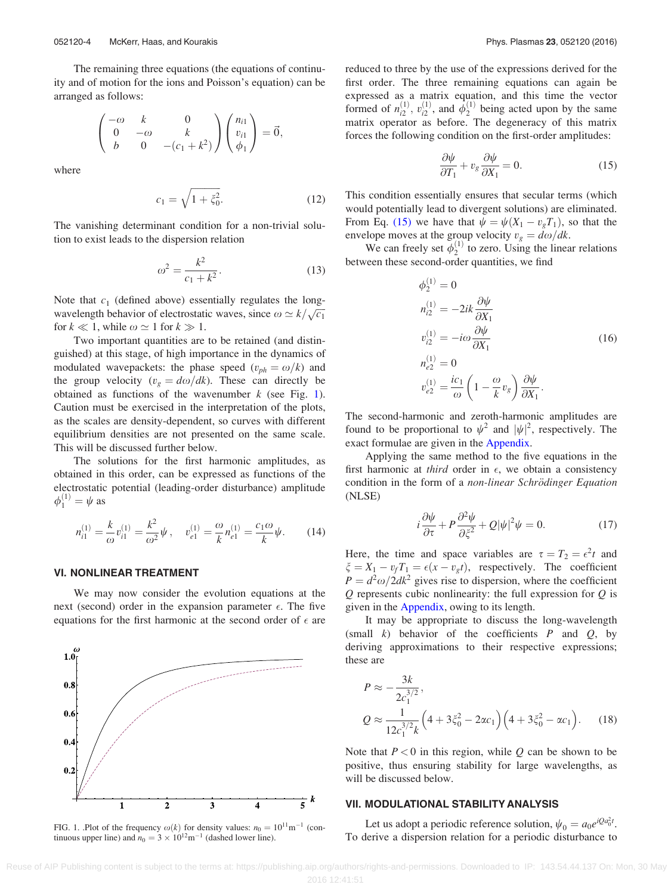<span id="page-4-0"></span>The remaining three equations (the equations of continuity and of motion for the ions and Poisson's equation) can be arranged as follows:

$$
\begin{pmatrix} -\omega & k & 0 \\ 0 & -\omega & k \\ b & 0 & -(c_1 + k^2) \end{pmatrix} \begin{pmatrix} n_{i1} \\ v_{i1} \\ \phi_1 \end{pmatrix} = \vec{0},
$$

where

$$
c_1 = \sqrt{1 + \xi_0^2}.
$$
 (12)

The vanishing determinant condition for a non-trivial solution to exist leads to the dispersion relation

$$
\omega^2 = \frac{k^2}{c_1 + k^2}.\tag{13}
$$

Note that  $c_1$  (defined above) essentially regulates the longwavelength behavior of electrostatic waves, since  $\omega \simeq k/\sqrt{c_1}$ for  $k \ll 1$ , while  $\omega \simeq 1$  for  $k \gg 1$ .

Two important quantities are to be retained (and distinguished) at this stage, of high importance in the dynamics of modulated wavepackets: the phase speed  $(v_{ph} = \omega/k)$  and the group velocity ( $v_g = d\omega/dk$ ). These can directly be obtained as functions of the wavenumber  $k$  (see Fig. 1). Caution must be exercised in the interpretation of the plots, as the scales are density-dependent, so curves with different equilibrium densities are not presented on the same scale. This will be discussed further below.

The solutions for the first harmonic amplitudes, as obtained in this order, can be expressed as functions of the electrostatic potential (leading-order disturbance) amplitude  $\phi_1^{(1)} = \psi$  as

$$
n_{i1}^{(1)} = \frac{k}{\omega} v_{i1}^{(1)} = \frac{k^2}{\omega^2} \psi \,, \quad v_{e1}^{(1)} = \frac{\omega}{k} n_{e1}^{(1)} = \frac{c_1 \omega}{k} \psi \,. \tag{14}
$$

# VI. NONLINEAR TREATMENT

We may now consider the evolution equations at the next (second) order in the expansion parameter  $\epsilon$ . The five equations for the first harmonic at the second order of  $\epsilon$  are



FIG. 1. .Plot of the frequency  $\omega(k)$  for density values:  $n_0 = 10^{11} \text{m}^{-1}$  (continuous upper line) and  $n_0 = 3 \times 10^{12} \text{m}^{-1}$  (dashed lower line).

reduced to three by the use of the expressions derived for the first order. The three remaining equations can again be expressed as a matrix equation, and this time the vector formed of  $n_{i2}^{(1)}$ ,  $v_{i2}^{(1)}$ , and  $\dot{\phi}_2^{(1)}$  being acted upon by the same matrix operator as before. The degeneracy of this matrix forces the following condition on the first-order amplitudes:

$$
\frac{\partial \psi}{\partial T_1} + v_g \frac{\partial \psi}{\partial X_1} = 0.
$$
 (15)

This condition essentially ensures that secular terms (which would potentially lead to divergent solutions) are eliminated. From Eq. (15) we have that  $\psi = \psi(X_1 - v_gT_1)$ , so that the envelope moves at the group velocity  $v_g = d\omega/dk$ .

We can freely set  $\phi_2^{(1)}$  to zero. Using the linear relations between these second-order quantities, we find

$$
\phi_2^{(1)} = 0
$$
  
\n
$$
n_{i2}^{(1)} = -2ik \frac{\partial \psi}{\partial X_1}
$$
  
\n
$$
v_{i2}^{(1)} = -i\omega \frac{\partial \psi}{\partial X_1}
$$
  
\n
$$
n_{e2}^{(1)} = 0
$$
  
\n
$$
v_{e2}^{(1)} = \frac{ic_1}{\omega} \left(1 - \frac{\omega}{k} v_g\right) \frac{\partial \psi}{\partial X_1}.
$$
\n(16)

The second-harmonic and zeroth-harmonic amplitudes are found to be proportional to  $\psi^2$  and  $|\psi|^2$ , respectively. The exact formulae are given in the [Appendix.](#page-7-0)

Applying the same method to the five equations in the first harmonic at *third* order in  $\epsilon$ , we obtain a consistency condition in the form of a non-linear Schrödinger Equation (NLSE)

$$
i\frac{\partial \psi}{\partial \tau} + P \frac{\partial^2 \psi}{\partial \xi^2} + Q|\psi|^2 \psi = 0.
$$
 (17)

Here, the time and space variables are  $\tau = T_2 = \epsilon^2 t$  and  $\xi = X_1 - v_f T_1 = \epsilon (x - v_g t)$ , respectively. The coefficient  $P = d^2\omega/2dk^2$  gives rise to dispersion, where the coefficient  $Q$  represents cubic nonlinearity: the full expression for  $Q$  is given in the [Appendix](#page-7-0), owing to its length.

It may be appropriate to discuss the long-wavelength (small  $k$ ) behavior of the coefficients  $P$  and  $Q$ , by deriving approximations to their respective expressions; these are

$$
P \approx -\frac{3k}{2c_1^{3/2}},
$$
  
\n
$$
Q \approx \frac{1}{12c_1^{3/2}k} \left(4 + 3\xi_0^2 - 2\alpha c_1\right) \left(4 + 3\xi_0^2 - \alpha c_1\right).
$$
 (18)

Note that  $P < 0$  in this region, while Q can be shown to be positive, thus ensuring stability for large wavelengths, as will be discussed below.

## VII. MODULATIONAL STABILITY ANALYSIS

Let us adopt a periodic reference solution,  $\psi_0 = a_0 e^{iQ a_0^2 t}$ . To derive a dispersion relation for a periodic disturbance to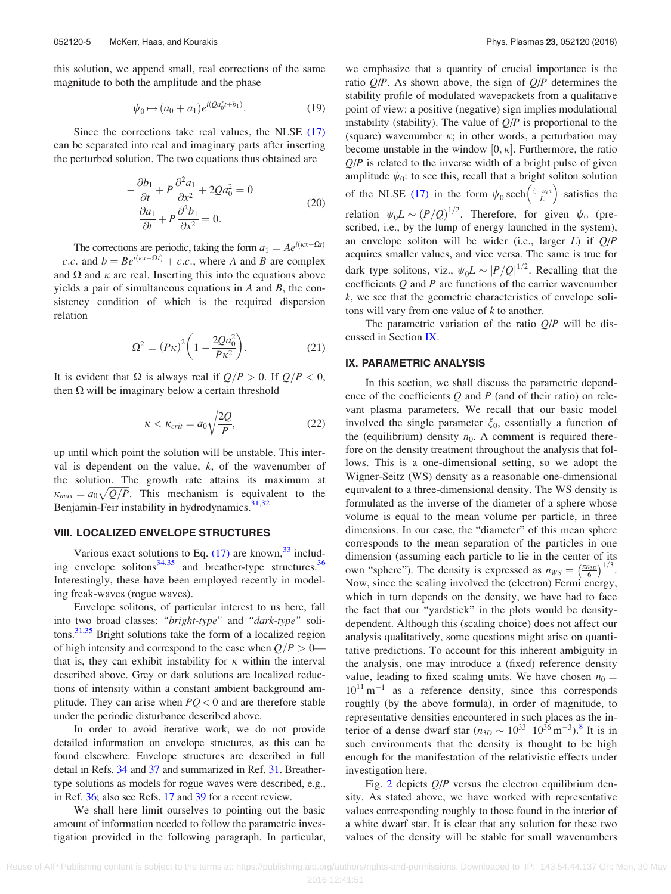<span id="page-5-0"></span>this solution, we append small, real corrections of the same magnitude to both the amplitude and the phase

$$
\psi_0 \mapsto (a_0 + a_1) e^{i(Qa_0^2 t + b_1)}.
$$
\n(19)

Since the corrections take real values, the NLSE [\(17\)](#page-4-0) can be separated into real and imaginary parts after inserting the perturbed solution. The two equations thus obtained are

$$
-\frac{\partial b_1}{\partial t} + P \frac{\partial^2 a_1}{\partial x^2} + 2Q a_0^2 = 0
$$
  

$$
\frac{\partial a_1}{\partial t} + P \frac{\partial^2 b_1}{\partial x^2} = 0.
$$
 (20)

The corrections are periodic, taking the form  $a_1 = Ae^{i(\kappa x - \Omega t)}$ +c.c. and  $b = Be^{i(kx - \Omega t)} + c.c.$ , where A and B are complex and  $\Omega$  and  $\kappa$  are real. Inserting this into the equations above yields a pair of simultaneous equations in  $A$  and  $B$ , the consistency condition of which is the required dispersion relation

$$
\Omega^2 = (P\kappa)^2 \left(1 - \frac{2Qa_0^2}{P\kappa^2}\right).
$$
 (21)

It is evident that  $\Omega$  is always real if  $Q/P > 0$ . If  $Q/P < 0$ , then  $\Omega$  will be imaginary below a certain threshold

$$
\kappa < \kappa_{crit} = a_0 \sqrt{\frac{2Q}{P}},\tag{22}
$$

up until which point the solution will be unstable. This interval is dependent on the value,  $k$ , of the wavenumber of the solution. The growth rate attains its maximum at  $\kappa_{max} = a_0 \sqrt{Q/P}$ . This mechanism is equivalent to the Benjamin-Feir instability in hydrodynamics.<sup>[31,32](#page-8-0)</sup>

# VIII. LOCALIZED ENVELOPE STRUCTURES

Various exact solutions to Eq.  $(17)$  are known,<sup>[33](#page-8-0)</sup> including envelope solitons $34,35$  and breather-type structures.<sup>[36](#page-8-0)</sup> Interestingly, these have been employed recently in modeling freak-waves (rogue waves).

Envelope solitons, of particular interest to us here, fall into two broad classes: "bright-type" and "dark-type" soli-tons.<sup>[31,35](#page-8-0)</sup> Bright solutions take the form of a localized region of high intensity and correspond to the case when  $Q/P > 0$  that is, they can exhibit instability for  $\kappa$  within the interval described above. Grey or dark solutions are localized reductions of intensity within a constant ambient background amplitude. They can arise when  $PQ < 0$  and are therefore stable under the periodic disturbance described above.

In order to avoid iterative work, we do not provide detailed information on envelope structures, as this can be found elsewhere. Envelope structures are described in full detail in Refs. [34](#page-8-0) and [37](#page-8-0) and summarized in Ref. [31](#page-8-0). Breathertype solutions as models for rogue waves were described, e.g., in Ref. [36](#page-8-0); also see Refs. [17](#page-8-0) and [39](#page-8-0) for a recent review.

We shall here limit ourselves to pointing out the basic amount of information needed to follow the parametric investigation provided in the following paragraph. In particular, we emphasize that a quantity of crucial importance is the ratio  $Q/P$ . As shown above, the sign of  $Q/P$  determines the stability profile of modulated wavepackets from a qualitative point of view: a positive (negative) sign implies modulational instability (stability). The value of  $Q/P$  is proportional to the (square) wavenumber  $\kappa$ ; in other words, a perturbation may become unstable in the window  $[0, \kappa]$ . Furthermore, the ratio  $Q/P$  is related to the inverse width of a bright pulse of given amplitude  $\psi_0$ : to see this, recall that a bright soliton solution of the NLSE [\(17\)](#page-4-0) in the form  $\psi_0$  sech $\left(\frac{\xi - \mu_e \tau}{L}\right)$  satisfies the relation  $\psi_0 L \sim (P/Q)^{1/2}$ . Therefore, for given  $\psi_0$  (prescribed, i.e., by the lump of energy launched in the system), an envelope soliton will be wider (i.e., larger  $L$ ) if  $Q/P$ acquires smaller values, and vice versa. The same is true for dark type solitons, viz.,  $\psi_0 L \sim |P/Q|^{1/2}$ . Recalling that the coefficients  $Q$  and  $P$  are functions of the carrier wavenumber k, we see that the geometric characteristics of envelope solitons will vary from one value of  $k$  to another.

The parametric variation of the ratio  $Q/P$  will be discussed in Section IX.

# IX. PARAMETRIC ANALYSIS

In this section, we shall discuss the parametric dependence of the coefficients  $Q$  and  $P$  (and of their ratio) on relevant plasma parameters. We recall that our basic model involved the single parameter  $\xi_0$ , essentially a function of the (equilibrium) density  $n_0$ . A comment is required therefore on the density treatment throughout the analysis that follows. This is a one-dimensional setting, so we adopt the Wigner-Seitz (WS) density as a reasonable one-dimensional equivalent to a three-dimensional density. The WS density is formulated as the inverse of the diameter of a sphere whose volume is equal to the mean volume per particle, in three dimensions. In our case, the "diameter" of this mean sphere corresponds to the mean separation of the particles in one dimension (assuming each particle to lie in the center of its own "sphere"). The density is expressed as  $n_{WS} = \left(\frac{\pi n_{3D}}{6}\right)^{1/2}$  $\left(\frac{\pi n_{3D}}{6}\right)^{1/3}$ . Now, since the scaling involved the (electron) Fermi energy, which in turn depends on the density, we have had to face the fact that our "yardstick" in the plots would be densitydependent. Although this (scaling choice) does not affect our analysis qualitatively, some questions might arise on quantitative predictions. To account for this inherent ambiguity in the analysis, one may introduce a (fixed) reference density value, leading to fixed scaling units. We have chosen  $n_0 =$  $10^{11}$  m<sup>-1</sup> as a reference density, since this corresponds roughly (by the above formula), in order of magnitude, to representative densities encountered in such places as the interior of a dense dwarf star  $(n_{3D} \sim 10^{33} - 10^{36} \,\text{m}^{-3})$ .<sup>[8](#page-8-0)</sup> It is in such environments that the density is thought to be high enough for the manifestation of the relativistic effects under investigation here.

Fig. [2](#page-6-0) depicts  $Q/P$  versus the electron equilibrium density. As stated above, we have worked with representative values corresponding roughly to those found in the interior of a white dwarf star. It is clear that any solution for these two values of the density will be stable for small wavenumbers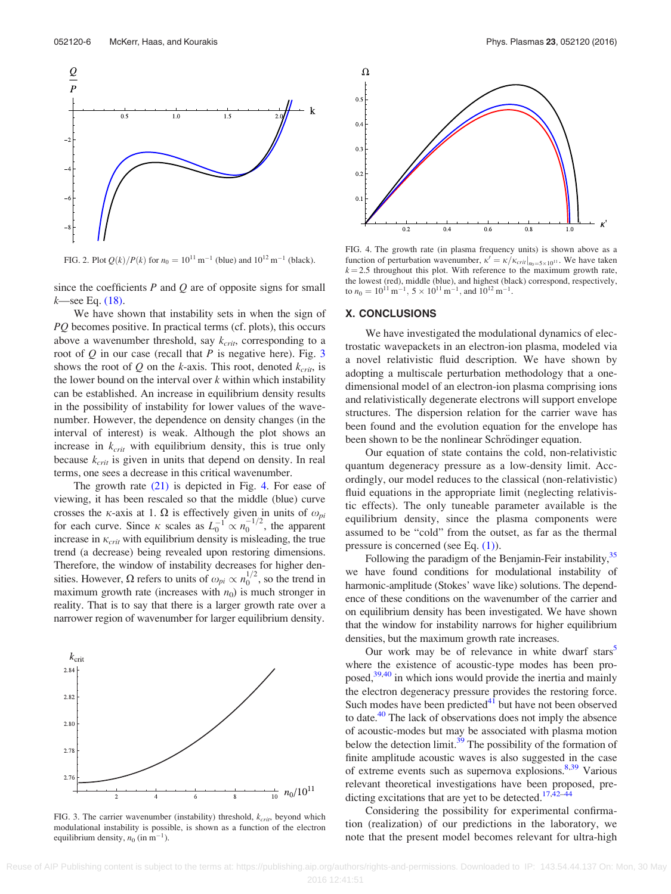<span id="page-6-0"></span>

FIG. 2. Plot  $Q(k)/P(k)$  for  $n_0 = 10^{11}$  m<sup>-1</sup> (blue) and  $10^{12}$  m<sup>-1</sup> (black).

since the coefficients  $P$  and  $Q$  are of opposite signs for small  $k$ —see Eq. [\(18\).](#page-4-0)

We have shown that instability sets in when the sign of PQ becomes positive. In practical terms (cf. plots), this occurs above a wavenumber threshold, say  $k_{crit}$ , corresponding to a root of  $Q$  in our case (recall that  $P$  is negative here). Fig. 3 shows the root of Q on the k-axis. This root, denoted  $k_{crit}$ , is the lower bound on the interval over  $k$  within which instability can be established. An increase in equilibrium density results in the possibility of instability for lower values of the wavenumber. However, the dependence on density changes (in the interval of interest) is weak. Although the plot shows an increase in  $k_{crit}$  with equilibrium density, this is true only because  $k_{crit}$  is given in units that depend on density. In real terms, one sees a decrease in this critical wavenumber.

The growth rate [\(21\)](#page-5-0) is depicted in Fig. 4. For ease of viewing, it has been rescaled so that the middle (blue) curve crosses the  $\kappa$ -axis at 1.  $\Omega$  is effectively given in units of  $\omega_{pi}$ for each curve. Since  $\kappa$  scales as  $L_0^{-1} \propto n_0^{-1/2}$ , the apparent increase in  $\kappa_{crit}$  with equilibrium density is misleading, the true trend (a decrease) being revealed upon restoring dimensions. Therefore, the window of instability decreases for higher densities. However,  $\Omega$  refers to units of  $\omega_{pi} \propto n_0^{1/2}$ , so the trend in maximum growth rate (increases with  $n_0$ ) is much stronger in reality. That is to say that there is a larger growth rate over a narrower region of wavenumber for larger equilibrium density.



FIG. 3. The carrier wavenumber (instability) threshold,  $k_{\text{crit}}$ , beyond which modulational instability is possible, is shown as a function of the electron equilibrium density,  $n_0$  (in m<sup>-1</sup>).



FIG. 4. The growth rate (in plasma frequency units) is shown above as a function of perturbation wavenumber,  $\kappa' = \kappa / \kappa_{crit}|_{n_0 = 5 \times 10^{11}}$ . We have taken  $k = 2.5$  throughout this plot. With reference to the maximum growth rate, the lowest (red), middle (blue), and highest (black) correspond, respectively, to  $n_0 = 10^{11} \,\mathrm{m}^{-1}$ ,  $5 \times 10^{11} \,\mathrm{m}^{-1}$ , and  $10^{12} \,\mathrm{m}^{-1}$ .

#### X. CONCLUSIONS

We have investigated the modulational dynamics of electrostatic wavepackets in an electron-ion plasma, modeled via a novel relativistic fluid description. We have shown by adopting a multiscale perturbation methodology that a onedimensional model of an electron-ion plasma comprising ions and relativistically degenerate electrons will support envelope structures. The dispersion relation for the carrier wave has been found and the evolution equation for the envelope has been shown to be the nonlinear Schrödinger equation.

Our equation of state contains the cold, non-relativistic quantum degeneracy pressure as a low-density limit. Accordingly, our model reduces to the classical (non-relativistic) fluid equations in the appropriate limit (neglecting relativistic effects). The only tuneable parameter available is the equilibrium density, since the plasma components were assumed to be "cold" from the outset, as far as the thermal pressure is concerned (see Eq. [\(1\)](#page-2-0)).

Following the paradigm of the Benjamin-Feir instability,<sup>35</sup> we have found conditions for modulational instability of harmonic-amplitude (Stokes' wave like) solutions. The dependence of these conditions on the wavenumber of the carrier and on equilibrium density has been investigated. We have shown that the window for instability narrows for higher equilibrium densities, but the maximum growth rate increases.

Our work may be of relevance in white dwarf stars<sup>3</sup> where the existence of acoustic-type modes has been proposed,<sup>39,40</sup> in which ions would provide the inertia and mainly the electron degeneracy pressure provides the restoring force. Such modes have been predicted $41$  but have not been observed to date.<sup>[40](#page-8-0)</sup> The lack of observations does not imply the absence of acoustic-modes but may be associated with plasma motion below the detection limit.<sup>39</sup> The possibility of the formation of finite amplitude acoustic waves is also suggested in the case of extreme events such as supernova explosions.<sup>8,39</sup> Various relevant theoretical investigations have been proposed, pre-dicting excitations that are yet to be detected.<sup>[17](#page-8-0),[42](#page-8-0)–[44](#page-8-0)</sup>

Considering the possibility for experimental confirmation (realization) of our predictions in the laboratory, we note that the present model becomes relevant for ultra-high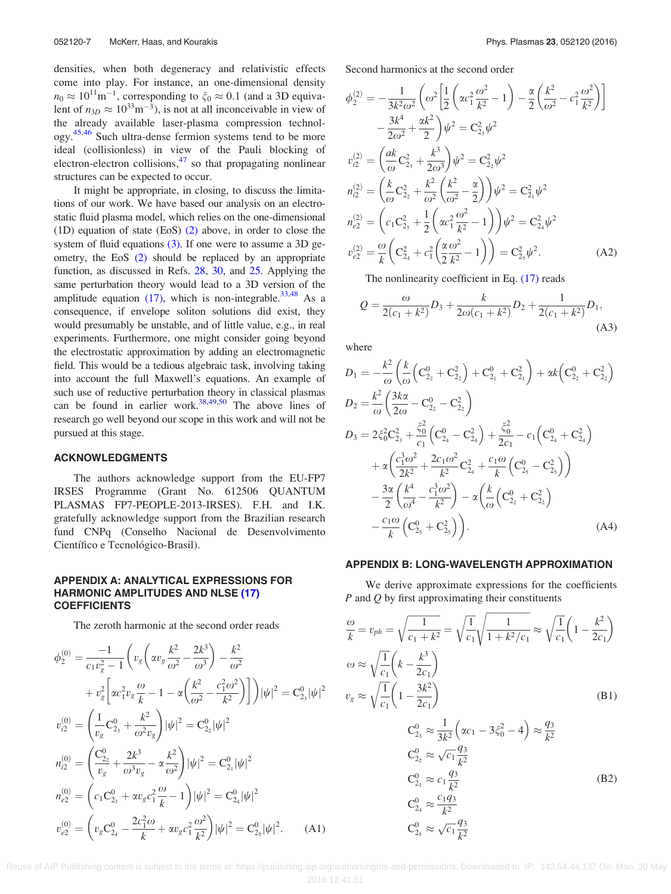<span id="page-7-0"></span>densities, when both degeneracy and relativistic effects come into play. For instance, an one-dimensional density  $n_0 \approx 10^{11} \text{m}^{-1}$ , corresponding to  $\xi_0 \approx 0.1$  (and a 3D equivalent of  $n_{3D} \approx 10^{33} \text{m}^{-3}$ ), is not at all inconceivable in view of the already available laser-plasma compression technol-ogy.<sup>[45,46](#page-8-0)</sup> Such ultra-dense fermion systems tend to be more ideal (collisionless) in view of the Pauli blocking of electron-electron collisions, $47$  so that propagating nonlinear structures can be expected to occur.

It might be appropriate, in closing, to discuss the limitations of our work. We have based our analysis on an electrostatic fluid plasma model, which relies on the one-dimensional (1D) equation of state  $(Es)$   $(2)$  above, in order to close the system of fluid equations [\(3\).](#page-2-0) If one were to assume a 3D geometry, the EoS [\(2\)](#page-2-0) should be replaced by an appropriate function, as discussed in Refs. [28,](#page-8-0) [30,](#page-8-0) and [25.](#page-8-0) Applying the same perturbation theory would lead to a 3D version of the amplitude equation  $(17)$ , which is non-integrable.<sup>[33,48](#page-8-0)</sup> As a consequence, if envelope soliton solutions did exist, they would presumably be unstable, and of little value, e.g., in real experiments. Furthermore, one might consider going beyond the electrostatic approximation by adding an electromagnetic field. This would be a tedious algebraic task, involving taking into account the full Maxwell's equations. An example of such use of reductive perturbation theory in classical plasmas can be found in earlier work. $38,49,50$  $38,49,50$  $38,49,50$  $38,49,50$  $38,49,50$  The above lines of research go well beyond our scope in this work and will not be pursued at this stage.

#### ACKNOWLEDGMENTS

The authors acknowledge support from the EU-FP7 IRSES Programme (Grant No. 612506 QUANTUM PLASMAS FP7-PEOPLE-2013-IRSES). F.H. and I.K. gratefully acknowledge support from the Brazilian research fund CNPq (Conselho Nacional de Desenvolvimento Científico e Tecnológico-Brasil).

# APPENDIX A: ANALYTICAL EXPRESSIONS FOR HARMONIC AMPLITUDES AND NLSE [\(17\)](#page-4-0) **COEFFICIENTS**

The zeroth harmonic at the second order reads

$$
\phi_2^{(0)} = \frac{-1}{c_1 v_g^2 - 1} \left( v_g \left( \alpha v_g \frac{k^2}{\omega^2} - \frac{2k^3}{\omega^3} \right) - \frac{k^2}{\omega^2} \right. \n+ v_g^2 \left[ \alpha c_1^2 v_g \frac{\omega}{k} - 1 - \alpha \left( \frac{k^2}{\omega^2} - \frac{c_1^2 \omega^2}{k^2} \right) \right] \left| \psi \right|^2 = C_{2_3}^0 | \psi |^2 \n v_{i2}^{(0)} = \left( \frac{1}{v_g} C_{2_3}^0 + \frac{k^2}{\omega^2 v_g} \right) | \psi |^2 = C_{2_2}^0 | \psi |^2 \n n_{i2}^{(0)} = \left( \frac{C_{2_2}^0}{v_g} + \frac{2k^3}{\omega^3 v_g} - \alpha \frac{k^2}{\omega^2} \right) | \psi |^2 = C_{2_1}^0 | \psi |^2 \n n_{e2}^{(0)} = \left( c_1 C_{2_3}^0 + \alpha v_g c_1^2 \frac{\omega}{k} - 1 \right) | \psi |^2 = C_{2_4}^0 | \psi |^2 \n v_{e2}^{(0)} = \left( v_g C_{2_4}^0 - \frac{2c_1^2 \omega}{k} + \alpha v_g c_1^2 \frac{\omega^2}{k^2} \right) | \psi |^2 = C_{2_3}^0 | \psi |^2. \tag{A1}
$$

Second harmonics at the second order

$$
\phi_2^{(2)} = -\frac{1}{3k^2\omega^2} \left( \omega^2 \left[ \frac{1}{2} \left( \alpha c_1^2 \frac{\omega^2}{k^2} - 1 \right) - \frac{\alpha}{2} \left( \frac{k^2}{\omega^2} - c_1^2 \frac{\omega^2}{k^2} \right) \right] \n- \frac{3k^4}{2\omega^2} + \frac{\alpha k^2}{2} \right) \psi^2 = C_{23}^2 \psi^2 \n v_{i2}^{(2)} = \left( \frac{ak}{\omega} C_{2_3}^2 + \frac{k^3}{2\omega^3} \right) \psi^2 = C_{22}^2 \psi^2 \n n_{i2}^{(2)} = \left( \frac{k}{\omega} C_{2_2}^2 + \frac{k^2}{\omega^2} \left( \frac{k^2}{\omega^2} - \frac{\alpha}{2} \right) \right) \psi^2 = C_{2_1}^2 \psi^2 \n n_{e2}^{(2)} = \left( c_1 C_{2_3}^2 + \frac{1}{2} \left( \alpha c_1^2 \frac{\omega^2}{k^2} - 1 \right) \right) \psi^2 = C_{2_4}^2 \psi^2 \n v_{e2}^{(2)} = \frac{\omega}{k} \left( C_{2_4}^2 + c_1^2 \left( \frac{\alpha}{2} \frac{\omega^2}{k^2} - 1 \right) \right) = C_{2_5}^2 \psi^2.
$$
\n(A2)

The nonlinearity coefficient in Eq. [\(17\)](#page-4-0) reads

$$
Q = \frac{\omega}{2(c_1 + k^2)} D_3 + \frac{k}{2\omega(c_1 + k^2)} D_2 + \frac{1}{2(c_1 + k^2)} D_1,
$$
\n(A3)

where

$$
D_1 = -\frac{k^2}{\omega} \left( \frac{k}{\omega} \left( C_{2_2}^0 + C_{2_2}^2 \right) + C_{2_1}^0 + C_{2_1}^2 \right) + \alpha k \left( C_{2_2}^0 + C_{2_2}^2 \right)
$$
  
\n
$$
D_2 = \frac{k^2}{\omega} \left( \frac{3k\alpha}{2\omega} - C_{2_2}^0 - C_{2_2}^2 \right)
$$
  
\n
$$
D_3 = 2\xi_0^2 C_{2_3}^2 + \frac{\xi_0^2}{c_1} \left( C_{2_4}^0 - C_{2_4}^2 \right) + \frac{\xi_0^2}{2c_1} - c_1 \left( C_{2_4}^0 + C_{2_4}^2 \right)
$$
  
\n
$$
+ \alpha \left( \frac{c_1^3 \omega^2}{2k^2} + \frac{2c_1 \omega^2}{k^2} C_{2_4}^2 + \frac{c_1 \omega}{k} \left( C_{2_5}^0 - C_{2_5}^2 \right) \right)
$$
  
\n
$$
- \frac{3\alpha}{2} \left( \frac{k^4}{\omega^4} - \frac{c_1^3 \omega^2}{k^2} \right) - \alpha \left( \frac{k}{\omega} \left( C_{2_2}^0 + C_{2_2}^2 \right) - \frac{c_1 \omega}{k} \left( C_{2_5}^0 + C_{2_5}^2 \right) \right).
$$
  
\n(A4)

#### APPENDIX B: LONG-WAVELENGTH APPROXIMATION

We derive approximate expressions for the coefficients  $P$  and  $Q$  by first approximating their constituents

$$
\frac{\omega}{k} = v_{ph} = \sqrt{\frac{1}{c_1 + k^2}} = \sqrt{\frac{1}{c_1}} \sqrt{\frac{1}{1 + k^2/c_1}} \approx \sqrt{\frac{1}{c_1}} \left( 1 - \frac{k^2}{2c_1} \right)
$$
  
\n
$$
\omega \approx \sqrt{\frac{1}{c_1}} \left( k - \frac{k^3}{2c_1} \right)
$$
  
\n
$$
v_g \approx \sqrt{\frac{1}{c_1}} \left( 1 - \frac{3k^2}{2c_1} \right)
$$
  
\n
$$
C_{2_3}^0 \approx \frac{1}{3k^2} \left( \alpha c_1 - 3 \xi_0^2 - 4 \right) \approx \frac{q_3}{k^2}
$$
  
\n
$$
C_{2_2}^0 \approx \sqrt{c_1} \frac{q_3}{k^2}
$$
  
\n
$$
C_{2_1}^0 \approx c_1 \frac{q_3}{k^2}
$$
  
\n
$$
C_{2_4}^0 \approx \frac{c_1 q_3}{k^2}
$$
  
\n
$$
C_{2_5}^0 \approx \sqrt{c_1} \frac{q_3}{k^2}
$$
  
\n
$$
C_{2_5}^0 \approx \sqrt{c_1} \frac{q_3}{k^2}
$$
  
\n(22)

Reuse of AIP Publishing content is subject to the terms at: https://publishing.aip.org/authors/rights-and-permissions. Downloaded to IP: 143.54.44.137 On: Mon, 30 May

 $\mathbf{C}$